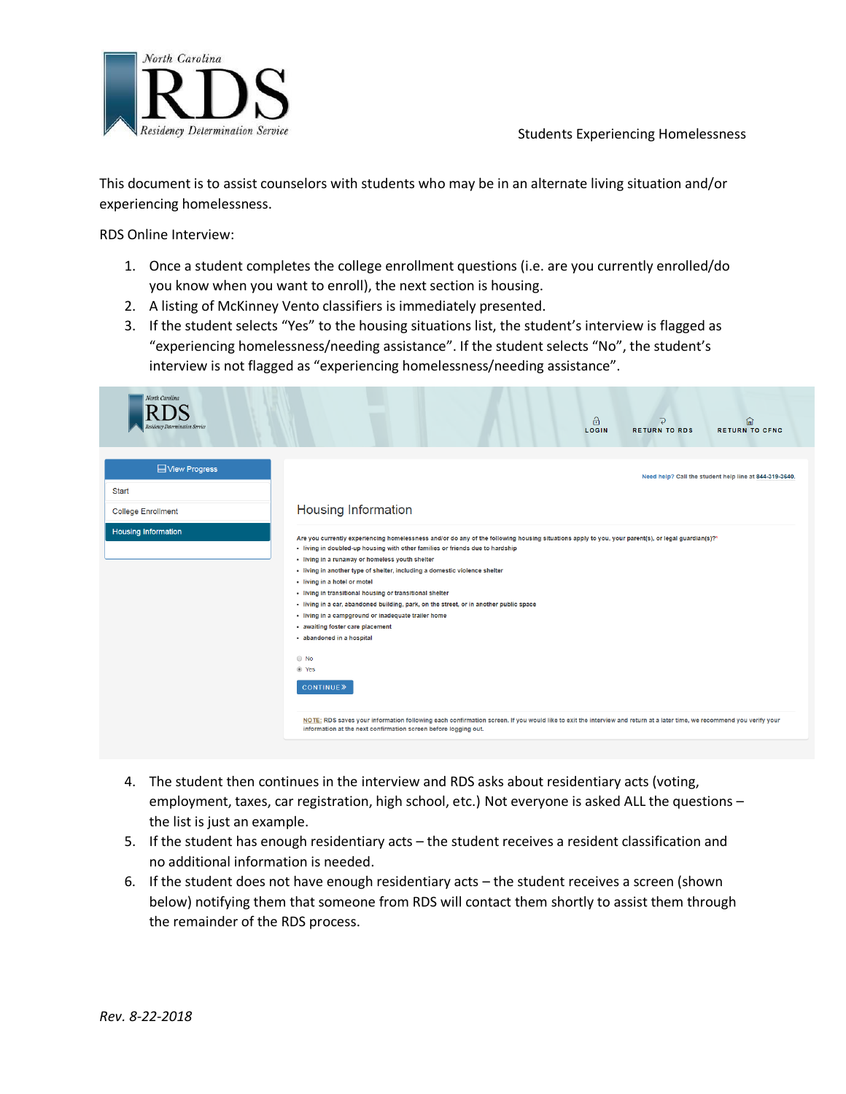

 This document is to assist counselors with students who may be in an alternate living situation and/or experiencing homelessness.

RDS Online Interview:

- 1. Once a student completes the college enrollment questions (i.e. are you currently enrolled/do you know when you want to enroll), the next section is housing.
- 2. A listing of McKinney Vento classifiers is immediately presented.
- 3. If the student selects "Yes" to the housing situations list, the student's interview is flagged as "experiencing homelessness/needing assistance". If the student selects "No", the student's interview is not flagged as "experiencing homelessness/needing assistance".

| North Carolina<br>esidency Determination Service            | $\theta$<br>仚<br>⊃<br><b>RETURN TO CFNC</b><br>LOGIN<br><b>RETURN TO RDS</b>                                                                                                                                                                                                                                                                                                                                                                                                                                                                                                                                                                                                                                                                                                                                                                                                                                                                                               |
|-------------------------------------------------------------|----------------------------------------------------------------------------------------------------------------------------------------------------------------------------------------------------------------------------------------------------------------------------------------------------------------------------------------------------------------------------------------------------------------------------------------------------------------------------------------------------------------------------------------------------------------------------------------------------------------------------------------------------------------------------------------------------------------------------------------------------------------------------------------------------------------------------------------------------------------------------------------------------------------------------------------------------------------------------|
| <b>□View Progress</b><br>Start<br><b>College Enrollment</b> | Need help? Call the student help line at 844-319-3640.<br><b>Housing Information</b>                                                                                                                                                                                                                                                                                                                                                                                                                                                                                                                                                                                                                                                                                                                                                                                                                                                                                       |
| <b>Housing Information</b>                                  | Are you currently experiencing homelessness and/or do any of the following housing situations apply to you, your parent(s), or legal guardian(s)?*<br>· living in doubled-up housing with other families or friends due to hardship<br>· living in a runaway or homeless youth shelter<br>• living in another type of shelter, including a domestic violence shelter<br>- living in a hotel or motel<br>• living in transitional housing or transitional shelter<br>- living in a car, abandoned building, park, on the street, or in another public space<br>· living in a campground or inadequate trailer home<br>- awaiting foster care placement<br>· abandoned in a hospital<br>$\odot$ No<br>◉ Yes<br><b>CONTINUE</b> »<br>NOTE: RDS saves your information following each confirmation screen. If you would like to exit the interview and return at a later time, we recommend you verify your<br>information at the next confirmation screen before logging out. |

- 4. The student then continues in the interview and RDS asks about residentiary acts (voting, employment, taxes, car registration, high school, etc.) Not everyone is asked ALL the questions – the list is just an example.
- 5. If the student has enough residentiary acts the student receives a resident classification and no additional information is needed.
- 6. If the student does not have enough residentiary acts the student receives a screen (shown below) notifying them that someone from RDS will contact them shortly to assist them through the remainder of the RDS process.